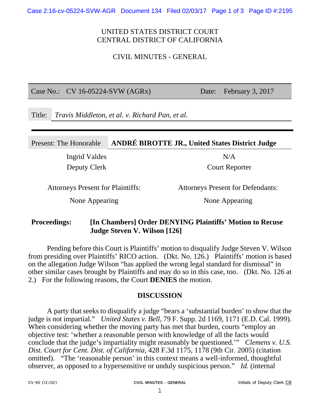## UNITED STATES DISTRICT COURT CENTRAL DISTRICT OF CALIFORNIA

CIVIL MINUTES - GENERAL

Case No.: CV 16-05224-SVW (AGRx) Date: February 3, 2017

Title: *Travis Middleton, et al. v. Richard Pan, et al.* 

#### Present: The Honorable **ANDRÉ BIROTTE JR., United States District Judge**

Ingrid Valdes N/A

Deputy Clerk Court Reporter

Attorneys Present for Plaintiffs: Attorneys Present for Defendants:

None Appearing None Appearing

### **Proceedings: [In Chambers] Order DENYING Plaintiffs' Motion to Recuse Judge Steven V. Wilson [126]**

Pending before this Court is Plaintiffs' motion to disqualify Judge Steven V. Wilson from presiding over Plaintiffs' RICO action. (Dkt. No. 126.) Plaintiffs' motion is based on the allegation Judge Wilson "has applied the wrong legal standard for dismissal" in other similar cases brought by Plaintiffs and may do so in this case, too. (Dkt. No. 126 at 2.) For the following reasons, the Court **DENIES** the motion.

#### **DISCUSSION**

A party that seeks to disqualify a judge "bears a 'substantial burden' to show that the judge is not impartial." *United States v. Bell*, 79 F. Supp. 2d 1169, 1171 (E.D. Cal. 1999). When considering whether the moving party has met that burden, courts "employ an objective test: 'whether a reasonable person with knowledge of all the facts would conclude that the judge's impartiality might reasonably be questioned.'" *Clemens v. U.S. Dist. Court for Cent. Dist. of California*, 428 F.3d 1175, 1178 (9th Cir. 2005) (citation omitted). "The 'reasonable person' in this context means a well-informed, thoughtful observer, as opposed to a hypersensitive or unduly suspicious person." *Id.* (internal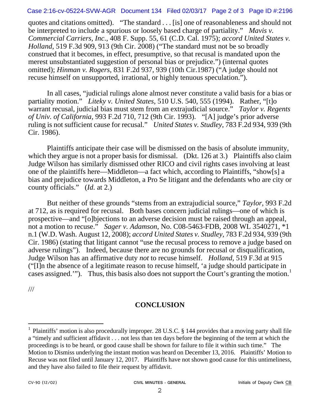#### Case 2:16-cv-05224-SVW-AGR Document 134 Filed 02/03/17 Page 2 of 3 Page ID #:2196

quotes and citations omitted). "The standard . . . [is] one of reasonableness and should not be interpreted to include a spurious or loosely based charge of partiality." *Mavis v. Commercial Carriers, Inc*., 408 F. Supp. 55, 61 (C.D. Cal. 1975); *accord United States v. Holland*, 519 F.3d 909, 913 (9th Cir. 2008) ("The standard must not be so broadly construed that it becomes, in effect, presumptive, so that recusal is mandated upon the merest unsubstantiated suggestion of personal bias or prejudice.") (internal quotes omitted); *Hinman v. Rogers*, 831 F.2d 937, 939 (10th Cir.1987) ("A judge should not recuse himself on unsupported, irrational, or highly tenuous speculation.").

In all cases, "judicial rulings alone almost never constitute a valid basis for a bias or partiality motion." *Liteky v. United States*, 510 U.S. 540, 555 (1994). Rather, "[t]o warrant recusal, judicial bias must stem from an extrajudicial source." *Taylor v. Regents of Univ. of California*, 993 F.2d 710, 712 (9th Cir. 1993). "[A] judge's prior adverse ruling is not sufficient cause for recusal." *United States v. Studley*, 783 F.2d 934, 939 (9th Cir. 1986).

 Plaintiffs anticipate their case will be dismissed on the basis of absolute immunity, which they argue is not a proper basis for dismissal. (Dkt. 126 at 3.) Plaintiffs also claim Judge Wilson has similarly dismissed other RICO and civil rights cases involving at least one of the plaintiffs here—Middleton—a fact which, according to Plaintiffs, "show[s] a bias and prejudice towards Middleton, a Pro Se litigant and the defendants who are city or county officials." (*Id.* at 2.)

 But neither of these grounds "stems from an extrajudicial source," *Taylor*, 993 F.2d at 712, as is required for recusal. Both bases concern judicial rulings—one of which is prospective—and "[o]bjections to an adverse decision must be raised through an appeal, not a motion to recuse." *Sager v. Adamson*, No. C08-5463-FDB, 2008 WL 3540271, \*1 n.1 (W.D. Wash. August 12, 2008); *accord United States v. Studley*, 783 F.2d 934, 939 (9th Cir. 1986) (stating that litigant cannot "use the recusal process to remove a judge based on adverse rulings"). Indeed, because there are no grounds for recusal or disqualification, Judge Wilson has an affirmative duty *not* to recuse himself. *Holland*, 519 F.3d at 915 ("[I]n the absence of a legitimate reason to recuse himself, 'a judge should participate in cases assigned.'"). Thus, this basis also does not support the Court's granting the motion.<sup>1</sup>

///

 $\overline{a}$ 

# **CONCLUSION**

<sup>&</sup>lt;sup>1</sup> Plaintiffs' motion is also procedurally improper. 28 U.S.C. § 144 provides that a moving party shall file a "timely and sufficient affidavit . . . not less than ten days before the beginning of the term at which the proceedings is to be heard, or good cause shall be shown for failure to file it within such time." The Motion to Dismiss underlying the instant motion was heard on December 13, 2016. Plaintiffs' Motion to Recuse was not filed until January 12, 2017. Plaintiffs have not shown good cause for this untimeliness, and they have also failed to file their request by affidavit.